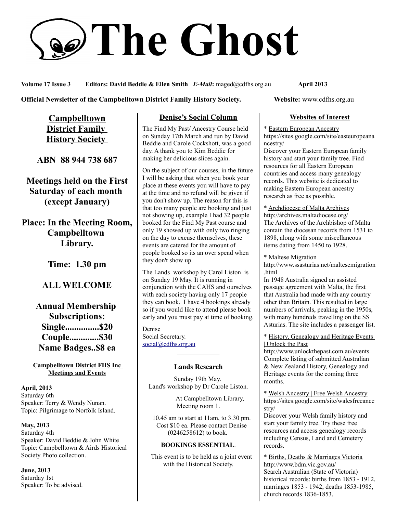# **The Ghost**

**Volume 17 Issue 3 Editors: David Beddie & Ellen Smith** *E-Mail***:** maged@cdfhs.org.au **April 2013**

**Official Newsletter of the Campbelltown District Family History Society. Website: www.cdfhs.org.au** 

**Campbelltown District Family History Society** 

**ABN 88 944 738 687**

**Meetings held on the First Saturday of each month (except January)**

**Place: In the Meeting Room, Campbelltown Library.**

**Time: 1.30 pm**

# **ALL WELCOME**

**Annual Membership Subscriptions: Single...............\$20 Couple.............\$30 Name Badges..\$8 ea**

**Campbelltown District FHS Inc Meetings and Events**

**April, 2013** Saturday 6th Speaker: Terry & Wendy Nunan. Topic: Pilgrimage to Norfolk Island.

**May, 2013** Saturday 4th Speaker: David Beddie & John White Topic: Campbelltown & Airds Historical Society Photo collection.

**June, 2013** Saturday 1st Speaker: To be advised.

## **Denise's Social Column**

The Find My Past/ Ancestry Course held on Sunday 17th March and run by David Beddie and Carole Cockshott, was a good day. A thank you to Kim Beddie for making her delicious slices again.

On the subject of our courses, in the future I will be asking that when you book your place at these events you will have to pay at the time and no refund will be given if you don't show up. The reason for this is that too many people are booking and just not showing up, example I had 32 people booked for the Find My Past course and only 19 showed up with only two ringing on the day to excuse themselves, these events are catered for the amount of people booked so its an over spend when they don't show up.

The Lands workshop by Carol Liston is on Sunday 19 May. It is running in conjunction with the CAHS and ourselves with each society having only 17 people they can book. I have 4 bookings already so if you would like to attend please book early and you must pay at time of booking.

Denise Social Secretary. [social@cdfhs.org.au](mailto:social@cdfhs.org.au)

# ——————– **Lands Research**

Sunday 19th May. Land's workshop by Dr Carole Liston.

> At Campbelltown Library, Meeting room 1.

 10.45 am to start at 11am, to 3.30 pm. Cost \$10 ea. Please contact Denise (0246258612) to book.

#### **BOOKINGS ESSENTIAL**.

 This event is to be held as a joint event with the Historical Society.

#### **Websites of Interest**

\* Eastern European Ancestry https://sites.google.com/site/easteuropeana ncestry/

Discover your Eastern European family history and start your family tree. Find resources for all Eastern European countries and access many genealogy records. This website is dedicated to making Eastern European ancestry research as free as possible.

\* Archdiocese of Malta Archives http://archives.maltadiocese.org/ The Archives of the Archbishop of Malta contain the diocesan records from 1531 to 1898, along with some miscellaneous items dating from 1450 to 1928.

\* Maltese Migration

http://www.ssasturias.net/maltesemigration .html

In 1948 Australia signed an assisted passage agreement with Malta, the first that Australia had made with any country other than Britain. This resulted in large numbers of arrivals, peaking in the 1950s, with many hundreds travelling on the SS Asturias. The site includes a passenger list.

\* History, Genealogy and Heritage Events | Unlock the Past

http://www.unlockthepast.com.au/events Complete listing of submitted Australian & New Zealand History, Genealogy and Heritage events for the coming three months.

\* Welsh Ancestry | Free Welsh Ancestry https://sites.google.com/site/walesfreeance stry/

Discover your Welsh family history and start your family tree. Try these free resources and access genealogy records including Census, Land and Cemetery records.

\* Births, Deaths & Marriages Victoria http://www.bdm.vic.gov.au/ Search Australian (State of Victoria) historical records: births from 1853 - 1912, marriages 1853 - 1942, deaths 1853-1985, church records 1836-1853.